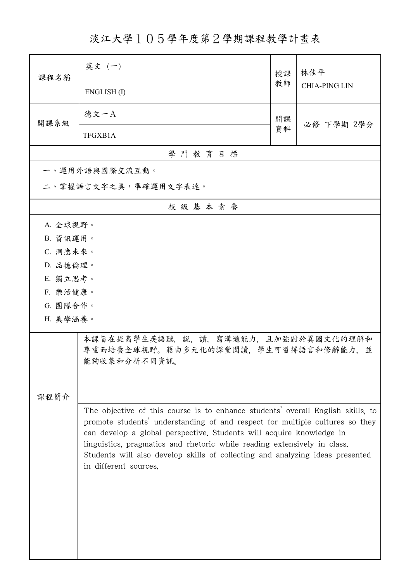淡江大學105學年度第2學期課程教學計畫表

| 課程名稱                                                                                                                                                                                                                                                                                                                                                                                                                          | 英文 (一)               | 授課 | 林佳平<br><b>CHIA-PING LIN</b> |  |  |
|-------------------------------------------------------------------------------------------------------------------------------------------------------------------------------------------------------------------------------------------------------------------------------------------------------------------------------------------------------------------------------------------------------------------------------|----------------------|----|-----------------------------|--|--|
|                                                                                                                                                                                                                                                                                                                                                                                                                               | ENGLISH(I)           | 教師 |                             |  |  |
| 開課系級                                                                                                                                                                                                                                                                                                                                                                                                                          | 德文一A                 | 開課 | 必修 下學期 2學分                  |  |  |
|                                                                                                                                                                                                                                                                                                                                                                                                                               | TFGXB1A              | 資料 |                             |  |  |
|                                                                                                                                                                                                                                                                                                                                                                                                                               | 學門教育目標               |    |                             |  |  |
|                                                                                                                                                                                                                                                                                                                                                                                                                               | 一、運用外語與國際交流互動。       |    |                             |  |  |
|                                                                                                                                                                                                                                                                                                                                                                                                                               | 二、掌握語言文字之美,準確運用文字表達。 |    |                             |  |  |
|                                                                                                                                                                                                                                                                                                                                                                                                                               | 校級基本素養               |    |                             |  |  |
| A. 全球視野。                                                                                                                                                                                                                                                                                                                                                                                                                      |                      |    |                             |  |  |
| B. 資訊運用。                                                                                                                                                                                                                                                                                                                                                                                                                      |                      |    |                             |  |  |
| C. 洞悉未來。                                                                                                                                                                                                                                                                                                                                                                                                                      |                      |    |                             |  |  |
| D. 品德倫理。                                                                                                                                                                                                                                                                                                                                                                                                                      |                      |    |                             |  |  |
| E. 獨立思考。                                                                                                                                                                                                                                                                                                                                                                                                                      |                      |    |                             |  |  |
| F. 樂活健康。                                                                                                                                                                                                                                                                                                                                                                                                                      |                      |    |                             |  |  |
| G. 團隊合作。                                                                                                                                                                                                                                                                                                                                                                                                                      |                      |    |                             |  |  |
| H. 美學涵養。                                                                                                                                                                                                                                                                                                                                                                                                                      |                      |    |                             |  |  |
| 本課旨在提高學生英語聽,說,讀,寫溝通能力,且加強對於異國文化的理解和<br>尊重而培養全球視野。藉由多元化的課堂閱讀,學生可習得語言和修辭能力,並<br>能夠收集和分析不同資訊。                                                                                                                                                                                                                                                                                                                                    |                      |    |                             |  |  |
|                                                                                                                                                                                                                                                                                                                                                                                                                               |                      |    |                             |  |  |
| 課程簡介                                                                                                                                                                                                                                                                                                                                                                                                                          |                      |    |                             |  |  |
| The objective of this course is to enhance students' overall English skills, to<br>promote students' understanding of and respect for multiple cultures so they<br>can develop a global perspective. Students will acquire knowledge in<br>linguistics, pragmatics and rhetoric while reading extensively in class.<br>Students will also develop skills of collecting and analyzing ideas presented<br>in different sources. |                      |    |                             |  |  |
|                                                                                                                                                                                                                                                                                                                                                                                                                               |                      |    |                             |  |  |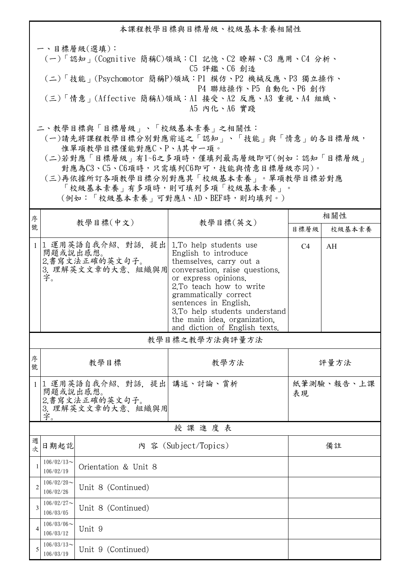本課程教學目標與目標層級、校級基本素養相關性 一、目標層級(選填): (一)「認知」(Cognitive 簡稱C)領域:C1 記憶、C2 瞭解、C3 應用、C4 分析、 C5 評鑑、C6 創造 (二)「技能」(Psychomotor 簡稱P)領域:P1 模仿、P2 機械反應、P3 獨立操作、 P4 聯結操作、P5 自動化、P6 創作 (三)「情意」(Affective 簡稱A)領域:A1 接受、A2 反應、A3 重視、A4 組織、 A5 內化、A6 實踐 二、教學目標與「目標層級」、「校級基本素養」之相關性:

 (一)請先將課程教學目標分別對應前述之「認知」、「技能」與「情意」的各目標層級, 惟單項教學目標僅能對應C、P、A其中一項。

 (二)若對應「目標層級」有1~6之多項時,僅填列最高層級即可(例如:認知「目標層級」 對應為C3、C5、C6項時,只需填列C6即可,技能與情意目標層級亦同)。

 (三)再依據所訂各項教學目標分別對應其「校級基本素養」。單項教學目標若對應 「校級基本素養」有多項時,則可填列多項「校級基本素養」。

(例如:「校級基本素養」可對應A、AD、BEF時,則均填列。)

| 序              | 教學目標(中文)<br>教學目標(英文)          |                                                                                  |                                                                                                                                                                                                                                                                                                                     | 相關性              |    |  |  |  |  |
|----------------|-------------------------------|----------------------------------------------------------------------------------|---------------------------------------------------------------------------------------------------------------------------------------------------------------------------------------------------------------------------------------------------------------------------------------------------------------------|------------------|----|--|--|--|--|
| 號              |                               |                                                                                  | 目標層級                                                                                                                                                                                                                                                                                                                | 校級基本素養           |    |  |  |  |  |
| $\mathbf{1}$   | 問題或說出感想。<br>字。                | 1 運用英語自我介紹、對話, 提出<br>2.書寫文法正確的英文句子。<br>3. 理解英文文章的大意、組織與用                         | 1. To help students use<br>English to introduce<br>themselves, carry out a<br>conversation, raise questions,<br>or express opinions.<br>2.To teach how to write<br>grammatically correct<br>sentences in English.<br>3.To help students understand<br>the main idea, organization.<br>and diction of English texts. | C <sub>4</sub>   | AH |  |  |  |  |
|                | 教學目標之教學方法與評量方法                |                                                                                  |                                                                                                                                                                                                                                                                                                                     |                  |    |  |  |  |  |
| 序<br>號         |                               | 教學目標                                                                             | 教學方法                                                                                                                                                                                                                                                                                                                | 評量方法             |    |  |  |  |  |
| $\mathbf{1}$   | 字。                            | 1 運用英語自我介紹、對話, 提出<br>講述、討論、賞析<br>問題或說出感想。<br>2.書寫文法正確的英文句子。<br>3. 理解英文文章的大意、組織與用 |                                                                                                                                                                                                                                                                                                                     | 紙筆測驗、報告、上課<br>表現 |    |  |  |  |  |
|                | 授課進度表                         |                                                                                  |                                                                                                                                                                                                                                                                                                                     |                  |    |  |  |  |  |
| 週<br>次         | 日期起訖                          |                                                                                  | 內 容 (Subject/Topics)                                                                                                                                                                                                                                                                                                |                  | 備註 |  |  |  |  |
| $\mathbf{1}$   | $106/02/13$ ~<br>106/02/19    | Orientation & Unit 8                                                             |                                                                                                                                                                                                                                                                                                                     |                  |    |  |  |  |  |
| $\overline{2}$ | $106/02/20$ ~<br>106/02/26    | Unit 8 (Continued)                                                               |                                                                                                                                                                                                                                                                                                                     |                  |    |  |  |  |  |
| 3              | $106/02/27$ ~<br>106/03/05    | Unit 8 (Continued)                                                               |                                                                                                                                                                                                                                                                                                                     |                  |    |  |  |  |  |
| $\overline{4}$ | $106/03/06 \sim$<br>106/03/12 | Unit 9                                                                           |                                                                                                                                                                                                                                                                                                                     |                  |    |  |  |  |  |
| 5              | $106/03/13$ ~<br>106/03/19    | Unit 9 (Continued)                                                               |                                                                                                                                                                                                                                                                                                                     |                  |    |  |  |  |  |